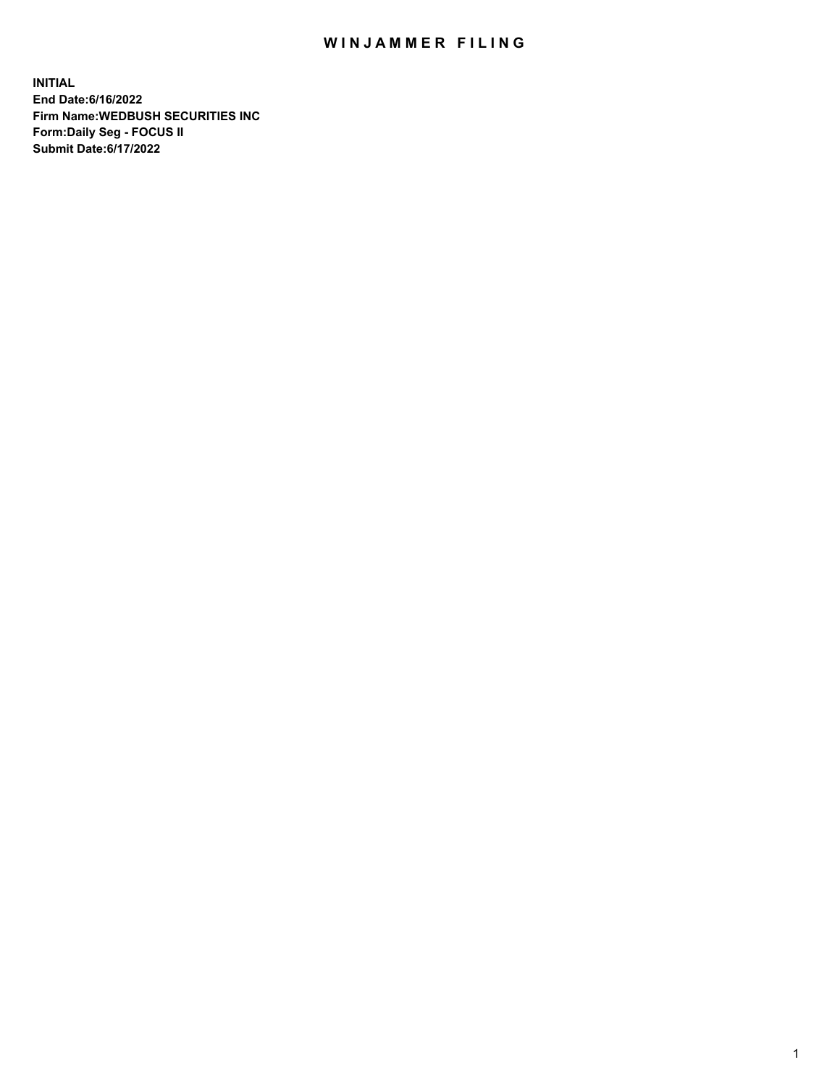## WIN JAMMER FILING

**INITIAL End Date:6/16/2022 Firm Name:WEDBUSH SECURITIES INC Form:Daily Seg - FOCUS II Submit Date:6/17/2022**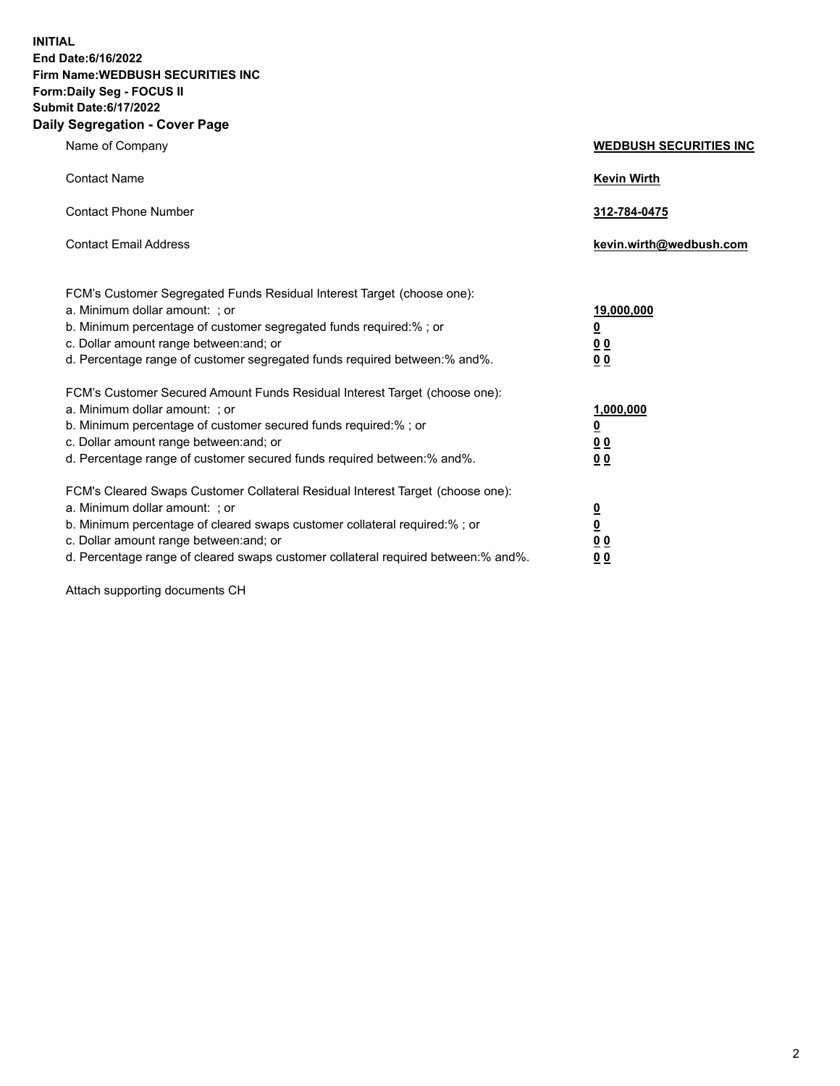**INITIAL End Date:6/16/2022 Firm Name:WEDBUSH SECURITIES INC Form:Daily Seg - FOCUS II Submit Date:6/17/2022 Daily Segregation - Cover Page**

| Name of Company                                                                                                                                                                                                                                                                                                                | <b>WEDBUSH SECURITIES INC</b>                                       |
|--------------------------------------------------------------------------------------------------------------------------------------------------------------------------------------------------------------------------------------------------------------------------------------------------------------------------------|---------------------------------------------------------------------|
| <b>Contact Name</b>                                                                                                                                                                                                                                                                                                            | <b>Kevin Wirth</b>                                                  |
| <b>Contact Phone Number</b>                                                                                                                                                                                                                                                                                                    | 312-784-0475                                                        |
| <b>Contact Email Address</b>                                                                                                                                                                                                                                                                                                   | kevin.wirth@wedbush.com                                             |
| FCM's Customer Segregated Funds Residual Interest Target (choose one):<br>a. Minimum dollar amount: ; or<br>b. Minimum percentage of customer segregated funds required:% ; or<br>c. Dollar amount range between: and; or<br>d. Percentage range of customer segregated funds required between:% and%.                         | <u>19,000,000</u><br>$\overline{\mathbf{0}}$<br>00<br>00            |
| FCM's Customer Secured Amount Funds Residual Interest Target (choose one):<br>a. Minimum dollar amount: ; or<br>b. Minimum percentage of customer secured funds required:%; or<br>c. Dollar amount range between: and; or<br>d. Percentage range of customer secured funds required between:% and%.                            | 1,000,000<br>$\overline{\mathbf{0}}$<br><u>00</u><br>0 <sub>0</sub> |
| FCM's Cleared Swaps Customer Collateral Residual Interest Target (choose one):<br>a. Minimum dollar amount: ; or<br>b. Minimum percentage of cleared swaps customer collateral required:% ; or<br>c. Dollar amount range between: and; or<br>d. Percentage range of cleared swaps customer collateral required between:% and%. | $\overline{\mathbf{0}}$<br>$\overline{\mathbf{0}}$<br>00<br>00      |

Attach supporting documents CH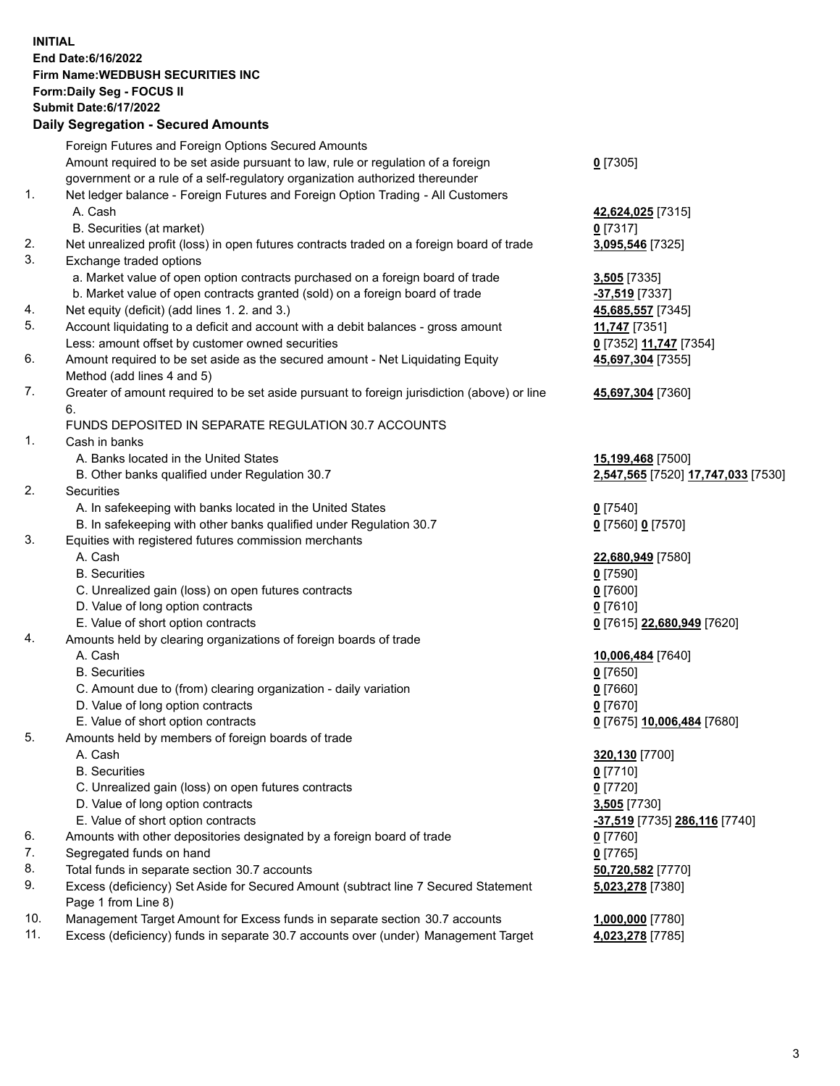**INITIAL End Date:6/16/2022 Firm Name:WEDBUSH SECURITIES INC Form:Daily Seg - FOCUS II Submit Date:6/17/2022 Daily Segregation - Secured Amounts**

|     | Daily Ocglegation - Occuled Anioants                                                        |                                    |
|-----|---------------------------------------------------------------------------------------------|------------------------------------|
|     | Foreign Futures and Foreign Options Secured Amounts                                         |                                    |
|     | Amount required to be set aside pursuant to law, rule or regulation of a foreign            | $0$ [7305]                         |
|     | government or a rule of a self-regulatory organization authorized thereunder                |                                    |
| 1.  | Net ledger balance - Foreign Futures and Foreign Option Trading - All Customers             |                                    |
|     | A. Cash                                                                                     | 42,624,025 [7315]                  |
|     | B. Securities (at market)                                                                   | $0$ [7317]                         |
| 2.  | Net unrealized profit (loss) in open futures contracts traded on a foreign board of trade   | 3,095,546 [7325]                   |
| 3.  | Exchange traded options                                                                     |                                    |
|     | a. Market value of open option contracts purchased on a foreign board of trade              | $3,505$ [7335]                     |
|     | b. Market value of open contracts granted (sold) on a foreign board of trade                | $-37,519$ [7337]                   |
| 4.  | Net equity (deficit) (add lines 1. 2. and 3.)                                               | 45,685,557 [7345]                  |
| 5.  | Account liquidating to a deficit and account with a debit balances - gross amount           | 11,747 [7351]                      |
|     | Less: amount offset by customer owned securities                                            | 0 [7352] 11,747 [7354]             |
| 6.  | Amount required to be set aside as the secured amount - Net Liquidating Equity              | 45,697,304 [7355]                  |
|     | Method (add lines 4 and 5)                                                                  |                                    |
| 7.  | Greater of amount required to be set aside pursuant to foreign jurisdiction (above) or line | 45,697,304 [7360]                  |
|     | 6.                                                                                          |                                    |
|     | FUNDS DEPOSITED IN SEPARATE REGULATION 30.7 ACCOUNTS                                        |                                    |
| 1.  | Cash in banks                                                                               |                                    |
|     | A. Banks located in the United States                                                       | 15,199,468 [7500]                  |
|     | B. Other banks qualified under Regulation 30.7                                              | 2,547,565 [7520] 17,747,033 [7530] |
| 2.  | Securities                                                                                  |                                    |
|     | A. In safekeeping with banks located in the United States                                   | $0$ [7540]                         |
|     | B. In safekeeping with other banks qualified under Regulation 30.7                          | 0 [7560] 0 [7570]                  |
| 3.  | Equities with registered futures commission merchants                                       |                                    |
|     | A. Cash                                                                                     | 22,680,949 [7580]                  |
|     | <b>B.</b> Securities                                                                        | $0$ [7590]                         |
|     | C. Unrealized gain (loss) on open futures contracts                                         | $0$ [7600]                         |
|     | D. Value of long option contracts<br>E. Value of short option contracts                     | $0$ [7610]                         |
| 4.  | Amounts held by clearing organizations of foreign boards of trade                           | 0 [7615] 22,680,949 [7620]         |
|     | A. Cash                                                                                     | 10,006,484 [7640]                  |
|     | <b>B.</b> Securities                                                                        | $0$ [7650]                         |
|     | C. Amount due to (from) clearing organization - daily variation                             | $0$ [7660]                         |
|     | D. Value of long option contracts                                                           | $0$ [7670]                         |
|     | E. Value of short option contracts                                                          | 0 [7675] 10,006,484 [7680]         |
| 5.  | Amounts held by members of foreign boards of trade                                          |                                    |
|     | A. Cash                                                                                     | 320,130 [7700]                     |
|     | <b>B.</b> Securities                                                                        | <u>0</u> [7710]                    |
|     | C. Unrealized gain (loss) on open futures contracts                                         | $0$ [7720]                         |
|     | D. Value of long option contracts                                                           | 3,505 [7730]                       |
|     | E. Value of short option contracts                                                          | -37,519 [7735] 286,116 [7740]      |
| 6.  | Amounts with other depositories designated by a foreign board of trade                      | 0 [7760]                           |
| 7.  | Segregated funds on hand                                                                    | $0$ [7765]                         |
| 8.  | Total funds in separate section 30.7 accounts                                               | 50,720,582 [7770]                  |
| 9.  | Excess (deficiency) Set Aside for Secured Amount (subtract line 7 Secured Statement         | 5,023,278 [7380]                   |
|     | Page 1 from Line 8)                                                                         |                                    |
| 10. | Management Target Amount for Excess funds in separate section 30.7 accounts                 | 1,000,000 [7780]                   |
| 11. | Excess (deficiency) funds in separate 30.7 accounts over (under) Management Target          | 4,023,278 [7785]                   |
|     |                                                                                             |                                    |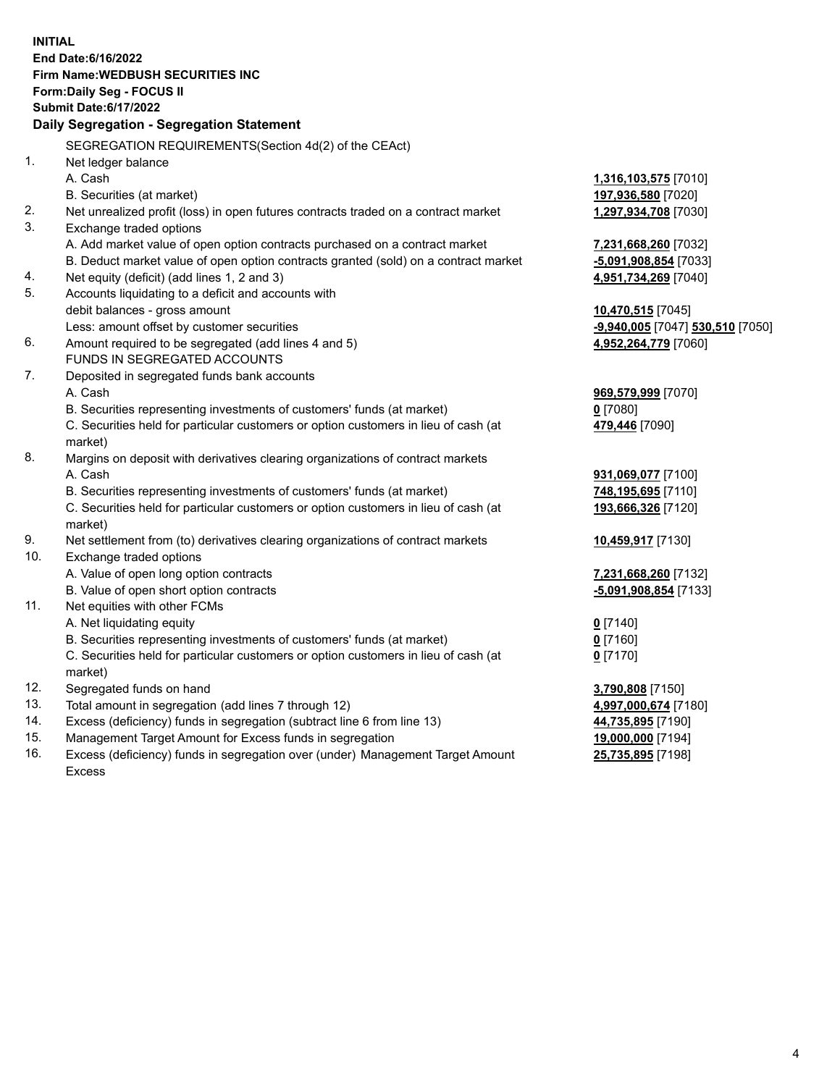|                | <b>INITIAL</b><br>End Date: 6/16/2022                                                       |                                  |
|----------------|---------------------------------------------------------------------------------------------|----------------------------------|
|                | <b>Firm Name: WEDBUSH SECURITIES INC</b>                                                    |                                  |
|                | Form: Daily Seg - FOCUS II                                                                  |                                  |
|                | <b>Submit Date:6/17/2022</b>                                                                |                                  |
|                | Daily Segregation - Segregation Statement                                                   |                                  |
|                | SEGREGATION REQUIREMENTS(Section 4d(2) of the CEAct)                                        |                                  |
| $\mathbf{1}$ . | Net ledger balance                                                                          |                                  |
|                | A. Cash                                                                                     | 1,316,103,575 [7010]             |
|                | B. Securities (at market)                                                                   | 197,936,580 [7020]               |
| 2.             | Net unrealized profit (loss) in open futures contracts traded on a contract market          | 1,297,934,708 [7030]             |
| 3.             | Exchange traded options                                                                     |                                  |
|                | A. Add market value of open option contracts purchased on a contract market                 | 7,231,668,260 [7032]             |
|                | B. Deduct market value of open option contracts granted (sold) on a contract market         | -5,091,908,854 [7033]            |
| 4.             | Net equity (deficit) (add lines 1, 2 and 3)                                                 | 4,951,734,269 [7040]             |
| 5.             | Accounts liquidating to a deficit and accounts with                                         |                                  |
|                | debit balances - gross amount                                                               | 10,470,515 [7045]                |
| 6.             | Less: amount offset by customer securities                                                  | -9,940,005 [7047] 530,510 [7050] |
|                | Amount required to be segregated (add lines 4 and 5)<br><b>FUNDS IN SEGREGATED ACCOUNTS</b> | 4,952,264,779 [7060]             |
| 7.             | Deposited in segregated funds bank accounts                                                 |                                  |
|                | A. Cash                                                                                     | 969,579,999 [7070]               |
|                | B. Securities representing investments of customers' funds (at market)                      | $0$ [7080]                       |
|                | C. Securities held for particular customers or option customers in lieu of cash (at         | 479,446 [7090]                   |
|                | market)                                                                                     |                                  |
| 8.             | Margins on deposit with derivatives clearing organizations of contract markets              |                                  |
|                | A. Cash                                                                                     | 931,069,077 [7100]               |
|                | B. Securities representing investments of customers' funds (at market)                      | 748,195,695 [7110]               |
|                | C. Securities held for particular customers or option customers in lieu of cash (at         | 193,666,326 [7120]               |
|                | market)                                                                                     |                                  |
| 9.             | Net settlement from (to) derivatives clearing organizations of contract markets             | 10,459,917 [7130]                |
| 10.            | Exchange traded options                                                                     |                                  |
|                | A. Value of open long option contracts                                                      | 7,231,668,260 [7132]             |
|                | B. Value of open short option contracts                                                     | <u>-5,091,908,854</u> [7133]     |
| 11.            | Net equities with other FCMs                                                                |                                  |
|                | A. Net liquidating equity                                                                   | $0$ [7140]                       |
|                | B. Securities representing investments of customers' funds (at market)                      | <u>0</u> [7160]                  |
|                | C. Securities held for particular customers or option customers in lieu of cash (at         | $0$ [7170]                       |
|                | market)                                                                                     |                                  |
| 12.            | Segregated funds on hand                                                                    | 3,790,808 [7150]                 |
| 13.            | Total amount in segregation (add lines 7 through 12)                                        | 4,997,000,674 [7180]             |
| 14.            | Excess (deficiency) funds in segregation (subtract line 6 from line 13)                     | 44,735,895 [7190]                |
| 15.            | Management Target Amount for Excess funds in segregation                                    | 19,000,000 [7194]                |
| 16.            | Excess (deficiency) funds in segregation over (under) Management Target Amount              | 25,735,895 [7198]                |

16. Excess (deficiency) funds in segregation over (under) Management Target Amount Excess